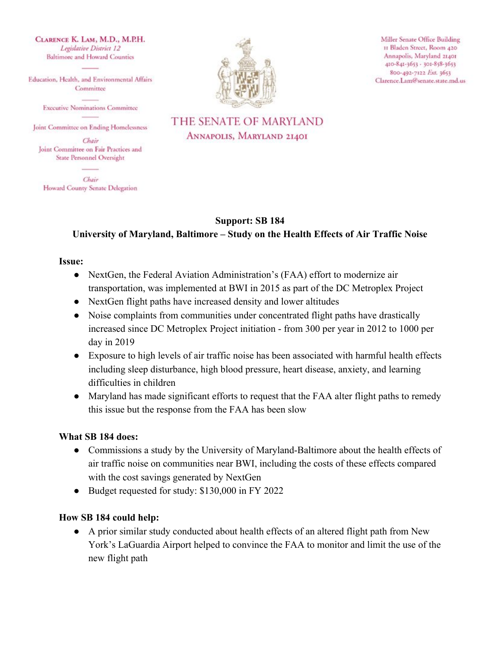CLARENCE K. LAM, M.D., M.P.H. Legislative District 12 **Baltimore and Howard Counties** 

Education, Health, and Environmental Affairs Committee

**Executive Nominations Committee** 

Joint Committee on Ending Homelessness

Chair Joint Committee on Fair Practices and State Personnel Oversight

Chair Howard County Senate Delegation



Miller Senate Office Building 11 Bladen Street, Room 420 Annapolis, Maryland 21401 410-841-3653 - 301-858-3653 800-492-7122 Ext. 3653 Clarence.Lam@senate.state.md.us

## THE SENATE OF MARYLAND ANNAPOLIS, MARYLAND 21401

#### **Support: SB 184**

## **University of Maryland, Baltimore – Study on the Health Effects of Air Traffic Noise**

#### **Issue:**

- NextGen, the Federal Aviation Administration's (FAA) effort to modernize air transportation, was implemented at BWI in 2015 as part of the DC Metroplex Project
- NextGen flight paths have increased density and lower altitudes
- Noise complaints from communities under concentrated flight paths have drastically increased since DC Metroplex Project initiation - from 300 per year in 2012 to 1000 per day in 2019
- Exposure to high levels of air traffic noise has been associated with harmful health effects including sleep disturbance, high blood pressure, heart disease, anxiety, and learning difficulties in children
- Maryland has made significant efforts to request that the FAA alter flight paths to remedy this issue but the response from the FAA has been slow

#### **What SB 184 does:**

- Commissions a study by the University of Maryland-Baltimore about the health effects of air traffic noise on communities near BWI, including the costs of these effects compared with the cost savings generated by NextGen
- Budget requested for study: \$130,000 in FY 2022

#### **How SB 184 could help:**

● A prior similar study conducted about health effects of an altered flight path from New York's LaGuardia Airport helped to convince the FAA to monitor and limit the use of the new flight path